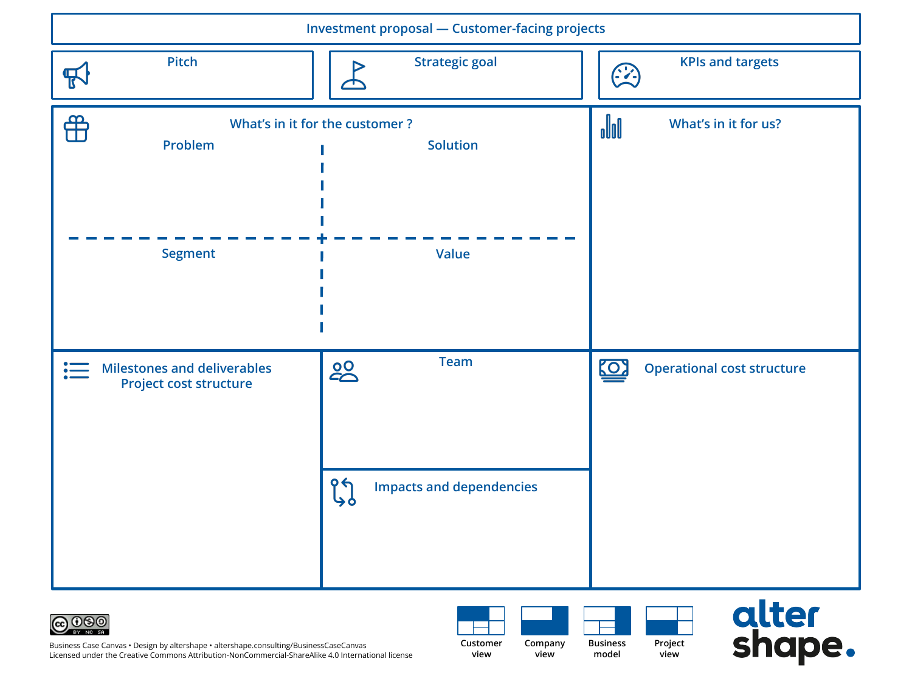



**| BBC 2018.11.05 — think-shape-try your idea with the innovation canvas** Business Case Canvas • Design by altershape • altershape.consulting/BusinessCaseCanvas Licensed under the Creative Commons Attribution-NonCommercial-ShareAlike 4.0 International license

**Company view**

**Customer view**

**Business model Project view**

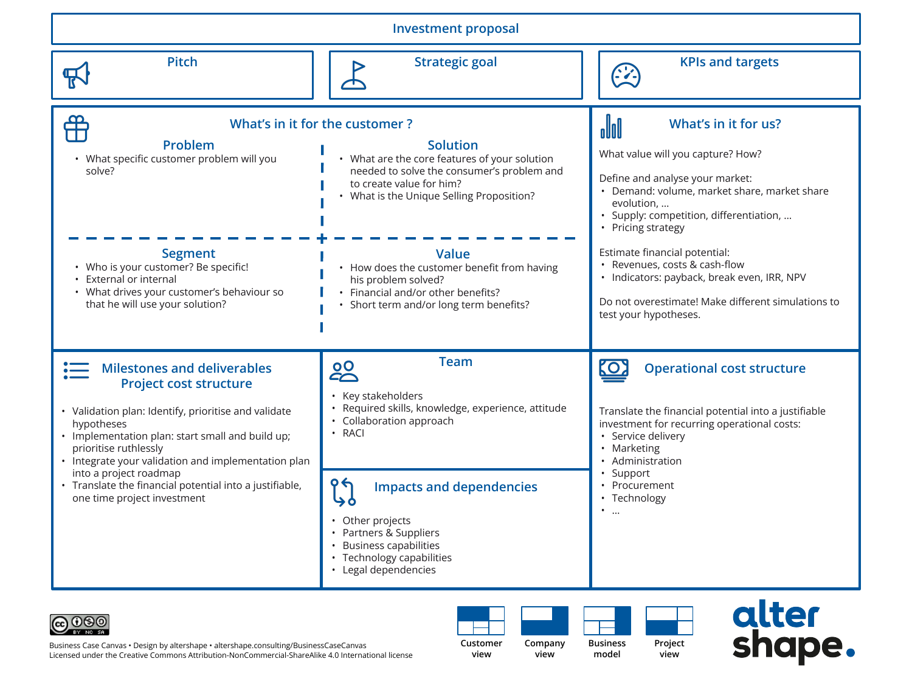| <b>Investment proposal</b>                                                                                                                                                                                                                                                                                                                                                                        |                                                                                                                                                                                                                           |                                                                                                                                                                                                                                                             |
|---------------------------------------------------------------------------------------------------------------------------------------------------------------------------------------------------------------------------------------------------------------------------------------------------------------------------------------------------------------------------------------------------|---------------------------------------------------------------------------------------------------------------------------------------------------------------------------------------------------------------------------|-------------------------------------------------------------------------------------------------------------------------------------------------------------------------------------------------------------------------------------------------------------|
| <b>Pitch</b><br>厌                                                                                                                                                                                                                                                                                                                                                                                 | <b>Strategic goal</b>                                                                                                                                                                                                     | <b>KPIs and targets</b><br><u> 2</u>                                                                                                                                                                                                                        |
| ₩<br>Problem<br>• What specific customer problem will you<br>solve?                                                                                                                                                                                                                                                                                                                               | What's in it for the customer?<br><b>Solution</b><br>• What are the core features of your solution<br>needed to solve the consumer's problem and<br>to create value for him?<br>• What is the Unique Selling Proposition? | oloo<br>What's in it for us?<br>What value will you capture? How?<br>Define and analyse your market:<br>• Demand: volume, market share, market share<br>evolution,<br>· Supply: competition, differentiation,<br>• Pricing strategy                         |
| <b>Segment</b><br>• Who is your customer? Be specific!<br>External or internal<br>• What drives your customer's behaviour so<br>that he will use your solution?                                                                                                                                                                                                                                   | <b>Value</b><br>• How does the customer benefit from having<br>his problem solved?<br>• Financial and/or other benefits?<br>• Short term and/or long term benefits?                                                       | Estimate financial potential:<br>• Revenues, costs & cash-flow<br>· Indicators: payback, break even, IRR, NPV<br>Do not overestimate! Make different simulations to<br>test your hypotheses.                                                                |
| <b>Milestones and deliverables</b><br><b>Project cost structure</b><br>• Validation plan: Identify, prioritise and validate<br>hypotheses<br>• Implementation plan: start small and build up;<br>prioritise ruthlessly<br>• Integrate your validation and implementation plan<br>into a project roadmap<br>• Translate the financial potential into a justifiable,<br>one time project investment | <b>Team</b><br><b>20</b><br>• Key stakeholders<br>Required skills, knowledge, experience, attitude<br>• Collaboration approach<br>· RACI<br><b>Impacts and dependencies</b>                                               | <u>(O)</u><br><b>Operational cost structure</b><br>Translate the financial potential into a justifiable<br>investment for recurring operational costs:<br>• Service delivery<br>• Marketing<br>• Administration<br>Support<br>• Procurement<br>• Technology |
|                                                                                                                                                                                                                                                                                                                                                                                                   | • Other projects<br>• Partners & Suppliers<br>• Business capabilities<br>• Technology capabilities<br>• Legal dependencies                                                                                                | $\bullet$<br>$\cdots$                                                                                                                                                                                                                                       |



**| BBC 2018.11.05 — think-shape-try your idea with the innovation canvas** Business Case Canvas • Design by altershape • altershape.consulting/BusinessCaseCanvas Licensed under the Creative Commons Attribution-NonCommercial-ShareAlike 4.0 International license

**Customer view Company view**

**Business model**

**Project view**